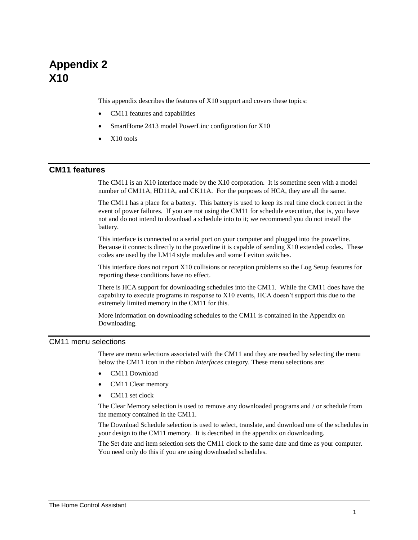# **Appendix 2 X10**

This appendix describes the features of X10 support and covers these topics:

- CM11 features and capabilities
- SmartHome 2413 model PowerLinc configuration for X10
- X10 tools

#### **CM11 features**

The CM11 is an X10 interface made by the X10 corporation. It is sometime seen with a model number of CM11A, HD11A, and CK11A. For the purposes of HCA, they are all the same.

The CM11 has a place for a battery. This battery is used to keep its real time clock correct in the event of power failures. If you are not using the CM11 for schedule execution, that is, you have not and do not intend to download a schedule into to it; we recommend you do not install the battery.

This interface is connected to a serial port on your computer and plugged into the powerline. Because it connects directly to the powerline it is capable of sending X10 extended codes. These codes are used by the LM14 style modules and some Leviton switches.

This interface does not report X10 collisions or reception problems so the Log Setup features for reporting these conditions have no effect.

There is HCA support for downloading schedules into the CM11. While the CM11 does have the capability to execute programs in response to X10 events, HCA doesn't support this due to the extremely limited memory in the CM11 for this.

More information on downloading schedules to the CM11 is contained in the Appendix on Downloading.

# CM11 menu selections

There are menu selections associated with the CM11 and they are reached by selecting the menu below the CM11 icon in the ribbon *Interfaces* category. These menu selections are:

- CM11 Download
- CM11 Clear memory
- CM11 set clock

The Clear Memory selection is used to remove any downloaded programs and / or schedule from the memory contained in the CM11.

The Download Schedule selection is used to select, translate, and download one of the schedules in your design to the CM11 memory. It is described in the appendix on downloading.

The Set date and item selection sets the CM11 clock to the same date and time as your computer. You need only do this if you are using downloaded schedules.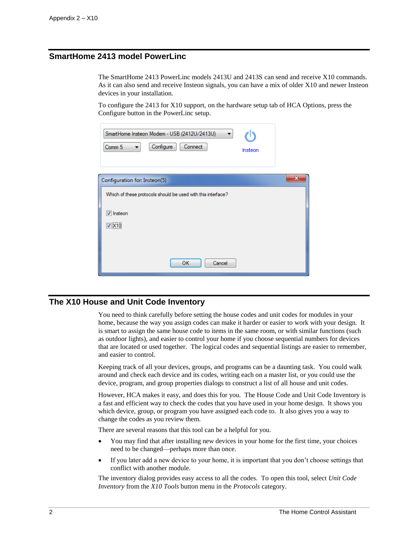# **SmartHome 2413 model PowerLinc**

The SmartHome 2413 PowerLinc models 2413U and 2413S can send and receive X10 commands. As it can also send and receive Insteon signals, you can have a mix of older X10 and newer Insteon devices in your installation.

To configure the 2413 for X10 support, on the hardware setup tab of HCA Options, press the Configure button in the PowerLinc setup.

| SmartHome Insteon Modem - USB (2412U/2413U)<br>Configure<br>Comm 5<br>Connect<br>Insteon |   |
|------------------------------------------------------------------------------------------|---|
| Configuration for: Insteon(5)                                                            | x |
| Which of these protocols should be used with this interface?                             |   |
| V Insteon                                                                                |   |
| $\nu$ X10                                                                                |   |
|                                                                                          |   |
| OK<br>Cancel                                                                             |   |

## **The X10 House and Unit Code Inventory**

You need to think carefully before setting the house codes and unit codes for modules in your home, because the way you assign codes can make it harder or easier to work with your design. It is smart to assign the same house code to items in the same room, or with similar functions (such as outdoor lights), and easier to control your home if you choose sequential numbers for devices that are located or used together. The logical codes and sequential listings are easier to remember, and easier to control.

Keeping track of all your devices, groups, and programs can be a daunting task. You could walk around and check each device and its codes, writing each on a master list, or you could use the device, program, and group properties dialogs to construct a list of all house and unit codes.

However, HCA makes it easy, and does this for you. The House Code and Unit Code Inventory is a fast and efficient way to check the codes that you have used in your home design. It shows you which device, group, or program you have assigned each code to. It also gives you a way to change the codes as you review them.

There are several reasons that this tool can be a helpful for you.

- You may find that after installing new devices in your home for the first time, your choices need to be changed—perhaps more than once.
- If you later add a new device to your home, it is important that you don't choose settings that conflict with another module.

The inventory dialog provides easy access to all the codes. To open this tool, select *Unit Code Inventory* from the *X10 Tools* button menu in the *Protocols* category.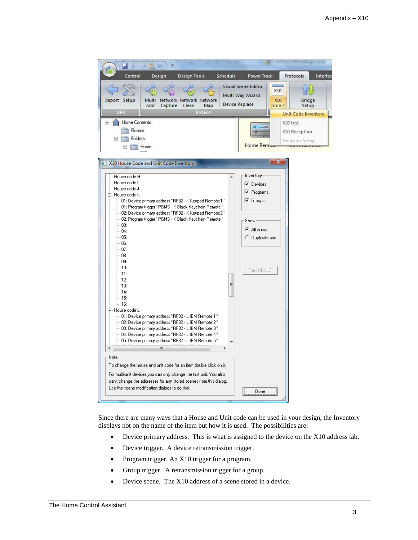

Since there are many ways that a House and Unit code can be used in your design, the Inventory displays not on the name of the item but how it is used. The possibilities are:

- Device primary address. This is what is assigned to the device on the X10 address tab.
- Device trigger. A device retransmission trigger.
- Program trigger. An X10 trigger for a program.
- Group trigger. A retransmission trigger for a group.
- Device scene. The X10 address of a scene stored in a device.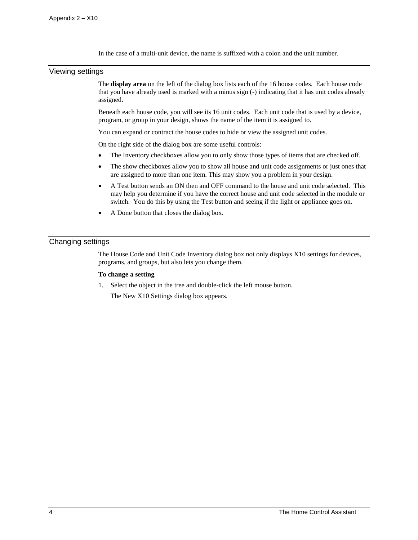In the case of a multi-unit device, the name is suffixed with a colon and the unit number.

## Viewing settings

The **display area** on the left of the dialog box lists each of the 16 house codes. Each house code that you have already used is marked with a minus sign (-) indicating that it has unit codes already assigned.

Beneath each house code, you will see its 16 unit codes. Each unit code that is used by a device, program, or group in your design, shows the name of the item it is assigned to.

You can expand or contract the house codes to hide or view the assigned unit codes.

On the right side of the dialog box are some useful controls:

- The Inventory checkboxes allow you to only show those types of items that are checked off.
- The show checkboxes allow you to show all house and unit code assignments or just ones that are assigned to more than one item. This may show you a problem in your design.
- A Test button sends an ON then and OFF command to the house and unit code selected. This may help you determine if you have the correct house and unit code selected in the module or switch. You do this by using the Test button and seeing if the light or appliance goes on.
- A Done button that closes the dialog box.

#### Changing settings

The House Code and Unit Code Inventory dialog box not only displays X10 settings for devices, programs, and groups, but also lets you change them.

#### **To change a setting**

1. Select the object in the tree and double-click the left mouse button.

The New X10 Settings dialog box appears.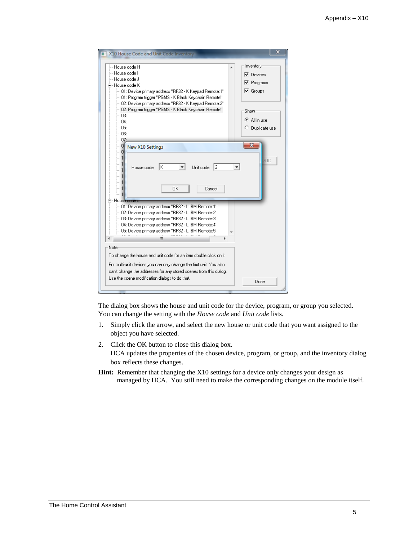![](_page_4_Figure_1.jpeg)

The dialog box shows the house and unit code for the device, program, or group you selected. You can change the setting with the *House code* and *Unit code* lists.

- 1. Simply click the arrow, and select the new house or unit code that you want assigned to the object you have selected.
- 2. Click the OK button to close this dialog box. HCA updates the properties of the chosen device, program, or group, and the inventory dialog box reflects these changes.
- **Hint:** Remember that changing the X10 settings for a device only changes your design as managed by HCA. You still need to make the corresponding changes on the module itself.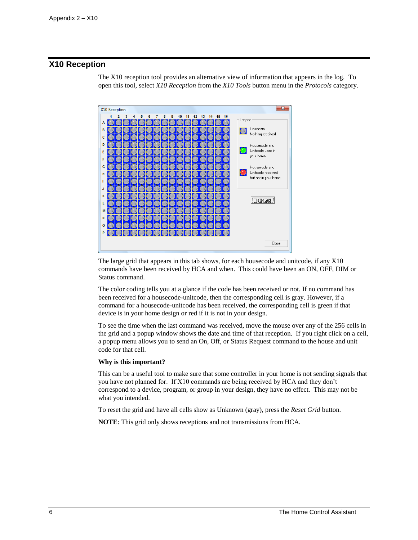# **X10 Reception**

The X10 reception tool provides an alternative view of information that appears in the log. To open this tool, select *X10 Reception* from the *X10 Tools* button menu in the *Protocols* category.

![](_page_5_Figure_3.jpeg)

The large grid that appears in this tab shows, for each housecode and unitcode, if any X10 commands have been received by HCA and when. This could have been an ON, OFF, DIM or Status command.

The color coding tells you at a glance if the code has been received or not. If no command has been received for a housecode-unitcode, then the corresponding cell is gray. However, if a command for a housecode-unitcode has been received, the corresponding cell is green if that device is in your home design or red if it is not in your design.

To see the time when the last command was received, move the mouse over any of the 256 cells in the grid and a popup window shows the date and time of that reception. If you right click on a cell, a popup menu allows you to send an On, Off, or Status Request command to the house and unit code for that cell.

#### **Why is this important?**

This can be a useful tool to make sure that some controller in your home is not sending signals that you have not planned for. If X10 commands are being received by HCA and they don't correspond to a device, program, or group in your design, they have no effect. This may not be what you intended.

To reset the grid and have all cells show as Unknown (gray), press the *Reset Grid* button.

**NOTE**: This grid only shows receptions and not transmissions from HCA.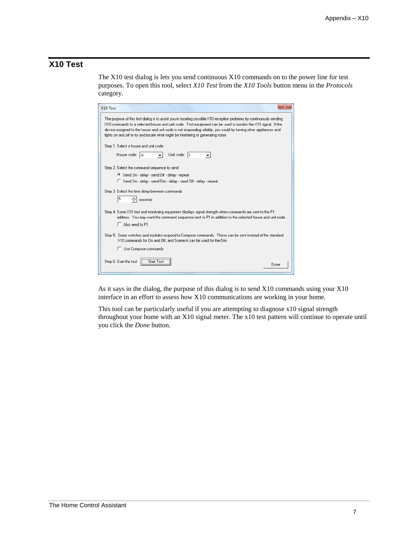# **X10 Test**

The X10 test dialog is lets you send continuous X10 commands on to the power line for test purposes. To open this tool, select *X10 Test* from the *X10 Tools* button menu in the *Protocols* category.

| X10 Test                                                                                                                                                                                                                                                                                                                                                                                                                                                                               |
|----------------------------------------------------------------------------------------------------------------------------------------------------------------------------------------------------------------------------------------------------------------------------------------------------------------------------------------------------------------------------------------------------------------------------------------------------------------------------------------|
| The purpose of this test dialog is to assist you in locating possible X10 reception problems by continuously sending<br>X10 commands to a selected house and unit code. Test equipment can be used to monitor the X10 signal. If the<br>device assigned to the house and unit code is not responding reliably, you could try turning other appliances and<br>lights on and off to try and locate what might be interfering or generating noise<br>Step 1. Select a house and unit code |
| House code:<br>Unit code:<br>Ιн                                                                                                                                                                                                                                                                                                                                                                                                                                                        |
| Step 2. Select the command sequence to send<br>6 Send On - delay - send Off - delay - repeat                                                                                                                                                                                                                                                                                                                                                                                           |
| C Send On - delay - send Dim - delay - send Off - delay - repeat                                                                                                                                                                                                                                                                                                                                                                                                                       |
| Step 3. Select the time delay between commands<br>5<br>seconds                                                                                                                                                                                                                                                                                                                                                                                                                         |
| Step 4. Some X10 test and monitoring equipment displays signal strength when commands are sent to the P1<br>address. You may want the command sequence sent to P1 in addition to the selected house and unit code<br>Also send to P1                                                                                                                                                                                                                                                   |
| Step 5. Some switches and modules respond to Compose commands. These can be sent instead of the standard<br>X10 commands for On and Off, and Scene A can be used for the Dim<br>□ Use Compose commands                                                                                                                                                                                                                                                                                 |
| Step 6. Start the test<br>Start Tesl<br>Done                                                                                                                                                                                                                                                                                                                                                                                                                                           |

As it says in the dialog, the purpose of this dialog is to send X10 commands using your X10 interface in an effort to assess how X10 communications are working in your home.

This tool can be particularly useful if you are attempting to diagnose x10 signal strength throughout your home with an X10 signal meter. The x10 test pattern will continue to operate until you click the *Done* button.